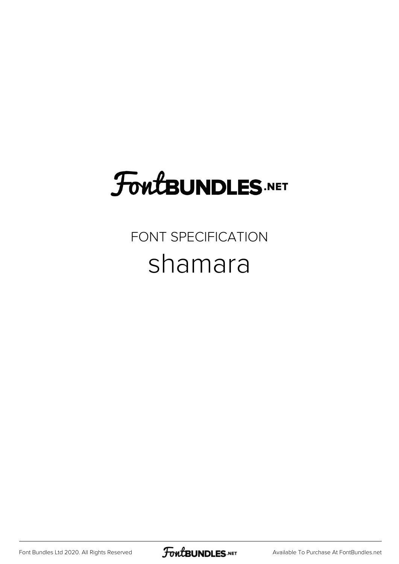## **FoutBUNDLES.NET**

## FONT SPECIFICATION shamara

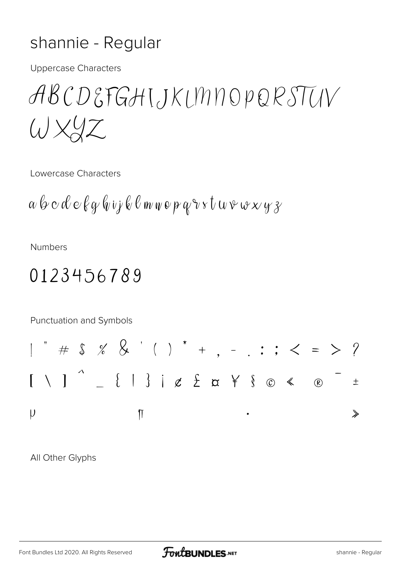## shannie - Regular

**Uppercase Characters** 

ABCDEFGHIJKLMNOPQRSTUV  $W$  $XZ$ 

Lowercase Characters

**Numbers** 

## 0123456789

Punctuation and Symbols

All Other Glyphs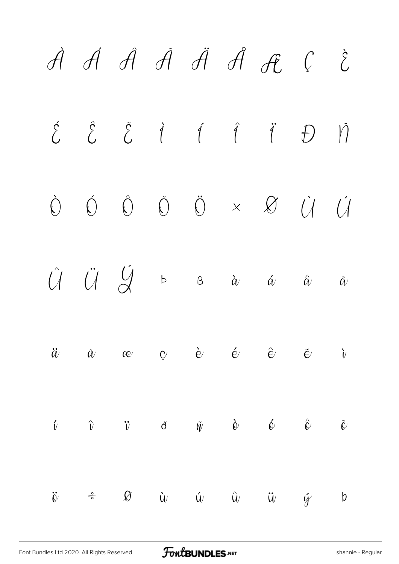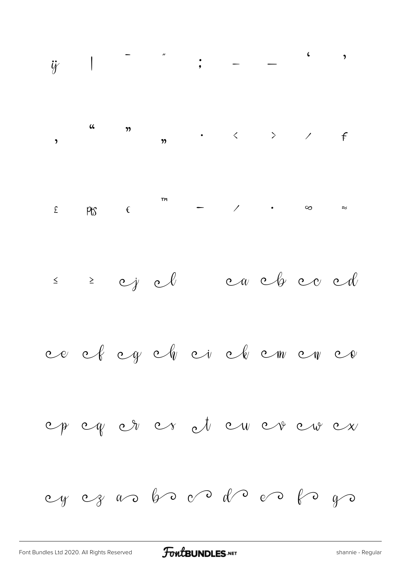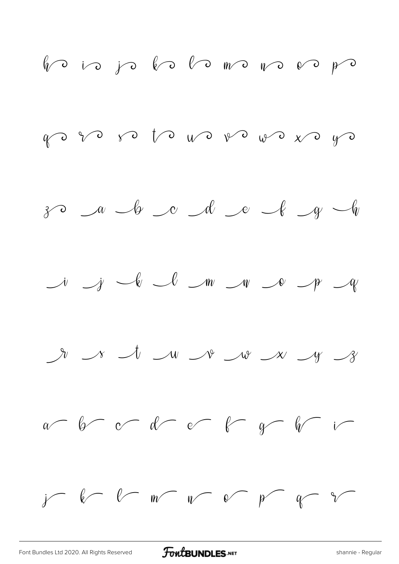